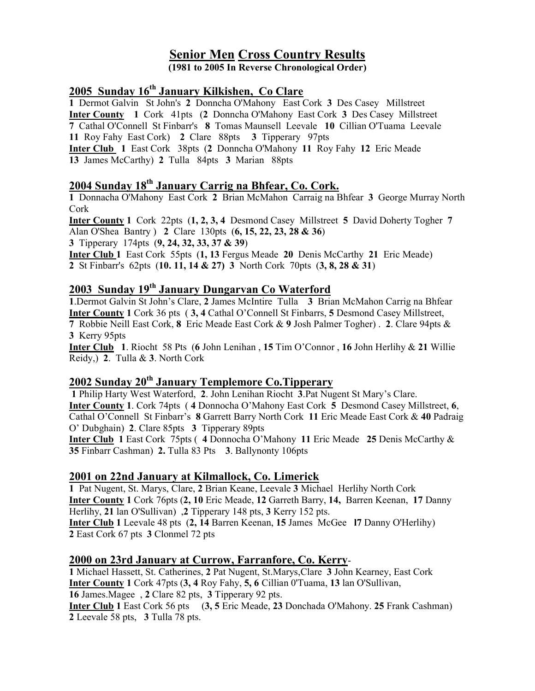# Senior Men Cross Country Results

(1981 to 2005 In Reverse Chronological Order)

## 2005 Sunday 16<sup>th</sup> January Kilkishen, Co Clare

Dermot Galvin St John's 2 Donncha O'Mahony East Cork 3 Des Casey Millstreet Inter County 1 Cork 41pts (2 Donncha O'Mahony East Cork 3 Des Casey Millstreet Cathal O'Connell St Finbarr's 8 Tomas Maunsell Leevale 10 Cillian O'Tuama Leevale Roy Fahy East Cork) 2 Clare 88pts 3 Tipperary 97pts Inter Club 1 East Cork 38pts (2 Donncha O'Mahony 11 Roy Fahy 12 Eric Meade James McCarthy) 2 Tulla 84pts 3 Marian 88pts

## 2004 Sunday 18<sup>th</sup> January Carrig na Bhfear, Co. Cork.

1 Donnacha O'Mahony East Cork 2 Brian McMahon Carraig na Bhfear 3 George Murray North Cork

Inter County 1 Cork 22pts (1, 2, 3, 4 Desmond Casey Millstreet 5 David Doherty Togher 7 Alan O'Shea Bantry ) 2 Clare 130pts (6, 15, 22, 23, 28 & 36) 3 Tipperary 174pts (9, 24, 32, 33, 37 & 39)

Inter Club 1 East Cork 55pts (1, 13 Fergus Meade 20 Denis McCarthy 21 Eric Meade) 2 St Finbarr's 62pts (10. 11, 14 & 27) 3 North Cork 70pts (3, 8, 28 & 31)

## 2003 Sunday 19th January Dungarvan Co Waterford

.Dermot Galvin St John's Clare, 2 James McIntire Tulla 3 Brian McMahon Carrig na Bhfear Inter County 1 Cork 36 pts ( 3, 4 Cathal O'Connell St Finbarrs, 5 Desmond Casey Millstreet, Robbie Neill East Cork, 8 Eric Meade East Cork & 9 Josh Palmer Togher) . 2. Clare 94pts & Kerry 95pts

Inter Club 1. Riocht 58 Pts (6 John Lenihan , 15 Tim O'Connor , 16 John Herlihy & 21 Willie Reidy,) 2. Tulla & 3. North Cork

## 2002 Sunday 20<sup>th</sup> January Templemore Co. Tipperary

1 Philip Harty West Waterford, 2. John Lenihan Riocht 3.Pat Nugent St Mary's Clare. Inter County 1. Cork 74pts ( 4 Donnocha O'Mahony East Cork 5 Desmond Casey Millstreet, 6, Cathal O'Connell St Finbarr's 8 Garrett Barry North Cork 11 Eric Meade East Cork & 40 Padraig O' Dubghain) 2. Clare 85pts 3 Tipperary 89pts

Inter Club 1 East Cork 75pts ( 4 Donnocha O'Mahony 11 Eric Meade 25 Denis McCarthy & 35 Finbarr Cashman) 2. Tulla 83 Pts 3. Ballynonty 106pts

## 2001 on 22nd January at Kilmallock, Co. Limerick

1 Pat Nugent, St. Marys, Clare, 2 Brian Keane, Leevale 3 Michael Herlihy North Cork Inter County 1 Cork 76pts (2, 10 Eric Meade, 12 Garreth Barry, 14, Barren Keenan, 17 Danny Herlihy, 21 lan O'Sullivan) ,2 Tipperary 148 pts, 3 Kerry 152 pts. Inter Club 1 Leevale 48 pts (2, 14 Barren Keenan, 15 James McGee l7 Danny O'Herlihy) 2 East Cork 67 pts 3 Clonmel 72 pts

#### 2000 on 23rd January at Currow, Farranfore, Co. Kerry-

1 Michael Hassett, St. Catherines, 2 Pat Nugent, St.Marys,Clare 3 John Kearney, East Cork Inter County 1 Cork 47pts (3, 4 Roy Fahy, 5, 6 Cillian 0'Tuama, 13 lan O'Sullivan, 16 James.Magee , 2 Clare 82 pts, 3 Tipperary 92 pts.

Inter Club 1 East Cork 56 pts (3, 5 Eric Meade, 23 Donchada O'Mahony. 25 Frank Cashman) 2 Leevale 58 pts, 3 Tulla 78 pts.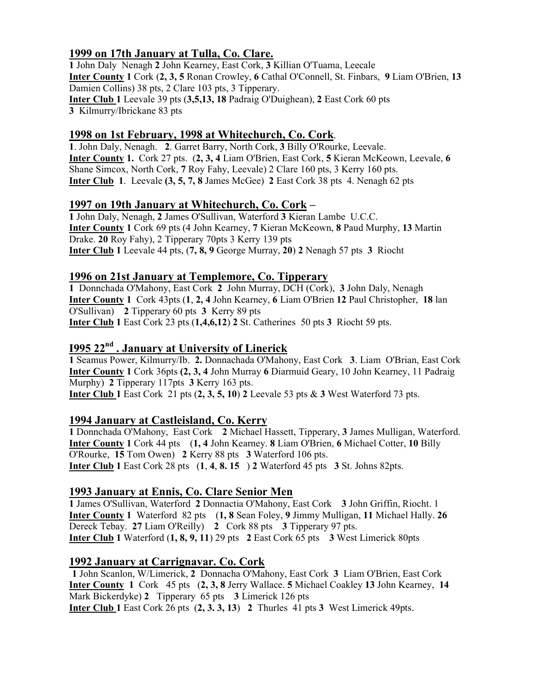## 1999 on 17th January at Tulla, Co. Clare.

1 John Daly Nenagh 2 John Kearney, East Cork, 3 Killian O'Tuama, Leecale Inter County 1 Cork (2, 3, 5 Ronan Crowley, 6 Cathal O'Connell, St. Finbars, 9 Liam O'Brien, 13 Damien Collins) 38 pts, 2 Clare 103 pts, 3 Tipperary. Inter Club 1 Leevale 39 pts (3,5,13, 18 Padraig O'Duighean), 2 East Cork 60 pts 3 Kilmurry/Ibrickane 83 pts

### 1998 on 1st February, 1998 at Whitechurch, Co. Cork.

1. John Daly, Nenagh. 2. Garret Barry, North Cork, 3 Billy O'Rourke, Leevale. Inter County 1. Cork 27 pts. (2, 3, 4 Liam O'Brien, East Cork, 5 Kieran McKeown, Leevale, 6 Shane Simcox, North Cork, 7 Roy Fahy, Leevale) 2 Clare 160 pts, 3 Kerry 160 pts. Inter Club 1. Leevale (3, 5, 7, 8 James McGee) 2 East Cork 38 pts 4. Nenagh 62 pts

## 1997 on 19th January at Whitechurch, Co. Cork –

1 John Daly, Nenagh, 2 James O'Sullivan, Waterford 3 Kieran Lambe U.C.C. Inter County 1 Cork 69 pts (4 John Kearney, 7 Kieran McKeown, 8 Paud Murphy, 13 Martin Drake. 20 Roy Fahy), 2 Tipperary 70pts 3 Kerry 139 pts Inter Club 1 Leevale 44 pts, (7, 8, 9 George Murray, 20) 2 Nenagh 57 pts 3 Riocht

### 1996 on 21st January at Templemore, Co. Tipperary

1 Donnchada O'Mahony, East Cork 2 John Murray, DCH (Cork), 3 John Daly, Nenagh Inter County 1 Cork 43pts (1, 2, 4 John Kearney, 6 Liam O'Brien 12 Paul Christopher, 18 lan O'Sullivan) 2 Tipperary 60 pts 3 Kerry 89 pts Inter Club 1 East Cork 23 pts  $(1,4,6,12)$  2 St. Catherines 50 pts 3 Riocht 59 pts.

## I995 22nd . January at University of Linerick

1 Seamus Power, Kilmurry/Ib. 2. Donnachada O'Mahony, East Cork 3. Liam O'Brian, East Cork Inter County 1 Cork 36pts (2, 3, 4 John Murray 6 Diarmuid Geary, 10 John Kearney, 11 Padraig Murphy) 2 Tipperary 117pts 3 Kerry 163 pts.

**Inter Club 1** East Cork 21 pts  $(2, 3, 5, 10)$  2 Leevale 53 pts  $\&$  3 West Waterford 73 pts.

#### 1994 January at Castleisland, Co. Kerry

1 Donnchada O'Mahony, East Cork 2 Michael Hassett, Tipperary, 3 James Mulligan, Waterford. Inter County 1 Cork 44 pts (1, 4 John Kearney. 8 Liam O'Brien, 6 Michael Cotter, 10 Billy O'Rourke, 15 Tom Owen) 2 Kerry 88 pts 3 Waterford 106 pts. Inter Club 1 East Cork 28 pts (1, 4, 8. 15 ) 2 Waterford 45 pts 3 St. Johns 82pts.

## 1993 January at Ennis, Co. Clare Senior Men

1 James O'Sullivan, Waterford 2 Donnactia O'Mahony, East Cork 3 John Griffin, Riocht. 1 Inter County 1 Waterford 82 pts (1, 8 Sean Foley, 9 Jimmy Mulligan, 11 Michael Hally. 26 Dereck Tebay. 27 Liam O'Reilly) 2 Cork 88 pts 3 Tipperary 97 pts. Inter Club 1 Waterford (1, 8, 9, 11) 29 pts 2 East Cork 65 pts 3 West Limerick 80pts

#### 1992 January at Carrignavar. Co. Cork

1 John Scanlon, W/Limerick, 2 Donnacha O'Mahony, East Cork 3 Liam O'Brien, East Cork Inter County 1 Cork 45 pts (2, 3, 8 Jerry Wallace. 5 Michael Coakley 13 John Kearney, 14 Mark Bickerdyke) 2 Tipperary 65 pts 3 Limerick 126 pts Inter Club 1 East Cork 26 pts (2, 3. 3, 13) 2 Thurles 41 pts 3 West Limerick 49pts.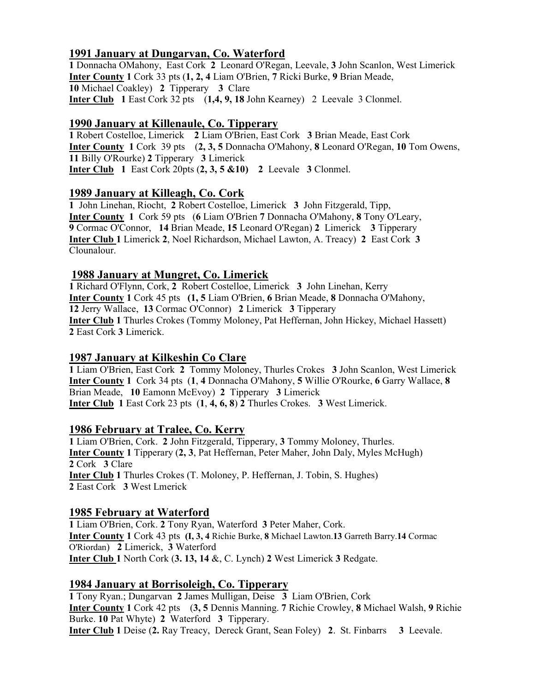## 1991 January at Dungarvan, Co. Waterford

1 Donnacha OMahony, East Cork 2 Leonard O'Regan, Leevale, 3 John Scanlon, West Limerick Inter County 1 Cork 33 pts (1, 2, 4 Liam O'Brien, 7 Ricki Burke, 9 Brian Meade, 10 Michael Coakley) 2 Tipperary 3 Clare Inter Club 1 East Cork 32 pts (1,4, 9, 18 John Kearney) 2 Leevale 3 Clonmel.

#### 1990 January at Killenaule, Co. Tipperary

1 Robert Costelloe, Limerick 2 Liam O'Brien, East Cork 3 Brian Meade, East Cork Inter County 1 Cork 39 pts (2, 3, 5 Donnacha O'Mahony, 8 Leonard O'Regan, 10 Tom Owens, 11 Billy O'Rourke) 2 Tipperary 3 Limerick Inter Club 1 East Cork 20pts (2, 3, 5 &10) 2 Leevale 3 Clonmel.

### 1989 January at Killeagh, Co. Cork

1 John Linehan, Riocht, 2 Robert Costelloe, Limerick 3 John Fitzgerald, Tipp, Inter County 1 Cork 59 pts (6 Liam O'Brien 7 Donnacha O'Mahony, 8 Tony O'Leary, 9 Cormac O'Connor, 14 Brian Meade, 15 Leonard O'Regan) 2 Limerick 3 Tipperary Inter Club 1 Limerick 2, Noel Richardson, Michael Lawton, A. Treacy) 2 East Cork 3 Clounalour.

### 1988 January at Mungret, Co. Limerick

1 Richard O'Flynn, Cork, 2 Robert Costelloe, Limerick 3 John Linehan, Kerry Inter County 1 Cork 45 pts (1, 5 Liam O'Brien, 6 Brian Meade, 8 Donnacha O'Mahony, 12 Jerry Wallace, 13 Cormac O'Connor) 2 Limerick 3 Tipperary Inter Club 1 Thurles Crokes (Tommy Moloney, Pat Heffernan, John Hickey, Michael Hassett) 2 East Cork 3 Limerick.

## 1987 January at Kilkeshin Co Clare

1 Liam O'Brien, East Cork 2 Tommy Moloney, Thurles Crokes 3 John Scanlon, West Limerick Inter County 1 Cork 34 pts (1, 4 Donnacha O'Mahony, 5 Willie O'Rourke, 6 Garry Wallace, 8 Brian Meade, 10 Eamonn McEvoy) 2 Tipperary 3 Limerick Inter Club 1 East Cork 23 pts (1, 4, 6, 8) 2 Thurles Crokes. 3 West Limerick.

#### 1986 February at Tralee, Co. Kerry

1 Liam O'Brien, Cork. 2 John Fitzgerald, Tipperary, 3 Tommy Moloney, Thurles. Inter County 1 Tipperary (2, 3, Pat Heffernan, Peter Maher, John Daly, Myles McHugh) 2 Cork 3 Clare Inter Club 1 Thurles Crokes (T. Moloney, P. Heffernan, J. Tobin, S. Hughes) 2 East Cork 3 West Lmerick

#### 1985 February at Waterford

1 Liam O'Brien, Cork. 2 Tony Ryan, Waterford 3 Peter Maher, Cork. Inter County 1 Cork 43 pts (I, 3, 4 Richie Burke, 8 Michael Lawton.13 Garreth Barry.14 Cormac O'Riordan) 2 Limerick, 3 Waterford Inter Club 1 North Cork (3. 13, 14 &, C. Lynch) 2 West Limerick 3 Redgate.

## 1984 January at Borrisoleigh, Co. Tipperary

1 Tony Ryan.; Dungarvan 2 James Mulligan, Deise 3 Liam O'Brien, Cork Inter County 1 Cork 42 pts (3, 5 Dennis Manning. 7 Richie Crowley, 8 Michael Walsh, 9 Richie Burke. 10 Pat Whyte) 2 Waterford 3 Tipperary. Inter Club 1 Deise (2. Ray Treacy, Dereck Grant, Sean Foley) 2. St. Finbarrs 3 Leevale.